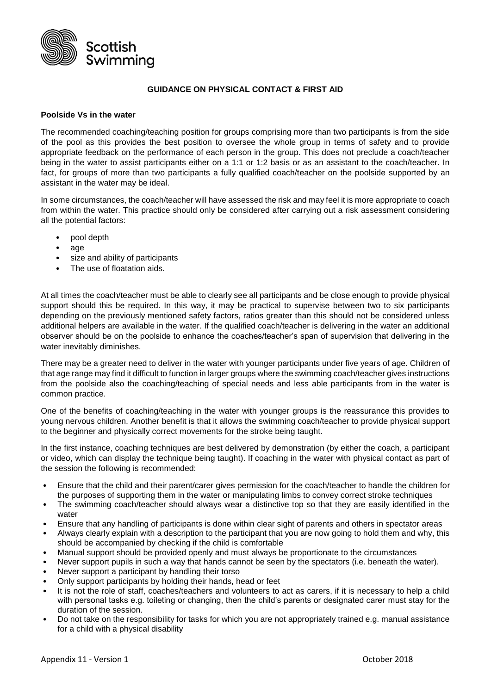

## **GUIDANCE ON PHYSICAL CONTACT & FIRST AID**

## **Poolside Vs in the water**

The recommended coaching/teaching position for groups comprising more than two participants is from the side of the pool as this provides the best position to oversee the whole group in terms of safety and to provide appropriate feedback on the performance of each person in the group. This does not preclude a coach/teacher being in the water to assist participants either on a 1:1 or 1:2 basis or as an assistant to the coach/teacher. In fact, for groups of more than two participants a fully qualified coach/teacher on the poolside supported by an assistant in the water may be ideal.

In some circumstances, the coach/teacher will have assessed the risk and may feel it is more appropriate to coach from within the water. This practice should only be considered after carrying out a risk assessment considering all the potential factors:

- pool depth
- age
- size and ability of participants
- The use of floatation aids.

At all times the coach/teacher must be able to clearly see all participants and be close enough to provide physical support should this be required. In this way, it may be practical to supervise between two to six participants depending on the previously mentioned safety factors, ratios greater than this should not be considered unless additional helpers are available in the water. If the qualified coach/teacher is delivering in the water an additional observer should be on the poolside to enhance the coaches/teacher's span of supervision that delivering in the water inevitably diminishes.

There may be a greater need to deliver in the water with younger participants under five years of age. Children of that age range may find it difficult to function in larger groups where the swimming coach/teacher gives instructions from the poolside also the coaching/teaching of special needs and less able participants from in the water is common practice.

One of the benefits of coaching/teaching in the water with younger groups is the reassurance this provides to young nervous children. Another benefit is that it allows the swimming coach/teacher to provide physical support to the beginner and physically correct movements for the stroke being taught.

In the first instance, coaching techniques are best delivered by demonstration (by either the coach, a participant or video, which can display the technique being taught). If coaching in the water with physical contact as part of the session the following is recommended:

- Ensure that the child and their parent/carer gives permission for the coach/teacher to handle the children for the purposes of supporting them in the water or manipulating limbs to convey correct stroke techniques
- The swimming coach/teacher should always wear a distinctive top so that they are easily identified in the water
- Ensure that any handling of participants is done within clear sight of parents and others in spectator areas
- Always clearly explain with a description to the participant that you are now going to hold them and why, this should be accompanied by checking if the child is comfortable
- Manual support should be provided openly and must always be proportionate to the circumstances
- Never support pupils in such a way that hands cannot be seen by the spectators (i.e. beneath the water).
- Never support a participant by handling their torso
- Only support participants by holding their hands, head or feet
- It is not the role of staff, coaches/teachers and volunteers to act as carers, if it is necessary to help a child with personal tasks e.g. toileting or changing, then the child's parents or designated carer must stay for the duration of the session.
- Do not take on the responsibility for tasks for which you are not appropriately trained e.g. manual assistance for a child with a physical disability